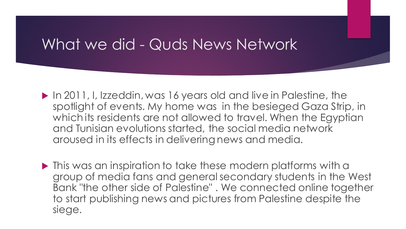### What we did - Quds News Network

- In 2011, I, Izzeddin, was 16 years old and live in Palestine, the spotlight of events. My home was in the besieged Gaza Strip, in which its residents are not allowed to travel. When the Egyptian and Tunisian evolutions started, the social media network aroused in its effects in delivering news and media.
- $\blacktriangleright$  This was an inspiration to take these modern platforms with a group of media fans and general secondary students in the West Bank "the other side of Palestine" . We connected online together to start publishing news and pictures from Palestine despite the siege.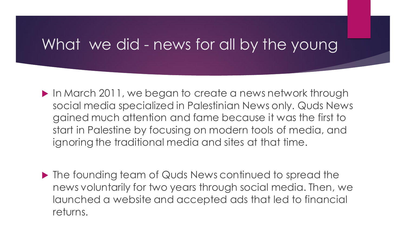### What we did - news for all by the young

- In March 2011, we began to create a news network through social media specialized in Palestinian News only. Quds News gained much attention and fame because it was the first to start in Palestine by focusing on modern tools of media, and ignoring the traditional media and sites at that time.
- ▶ The founding team of Quds News continued to spread the news voluntarily for two years through social media. Then, we launched a website and accepted ads that led to financial returns.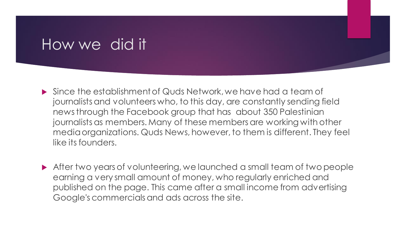### How we did it

- Since the establishment of Quds Network, we have had a team of journalists and volunteers who, to this day, are constantly sending field news through the Facebook group that has about 350 Palestinian journalists as members. Many of these members are working with other media organizations. Quds News, however, to them is different. They feel like its founders.
- After two years of volunteering, we launched a small team of two people earning a very small amount of money, who regularly enriched and published on the page. This came after a small income from advertising Google's commercials and ads across the site.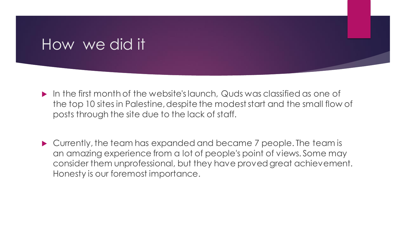### How we did it

- In the first month of the website's launch, Quds was classified as one of the top 10 sites in Palestine, despite the modest start and the small flow of posts through the site due to the lack of staff.
- Currently, the team has expanded and became 7 people. The team is an amazing experience from a lot of people's point of views. Some may consider them unprofessional, but they have proved great achievement. Honesty is our foremost importance.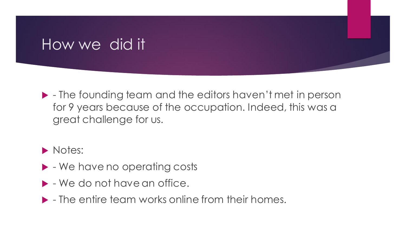### How we did it

 - The founding team and the editors haven't met in person for 9 years because of the occupation. Indeed, this was a great challenge for us.

#### Notes:

- $\blacktriangleright$  We have no operating costs
- $\blacktriangleright$  We do not have an office.
- $\blacktriangleright$  The entire team works online from their homes.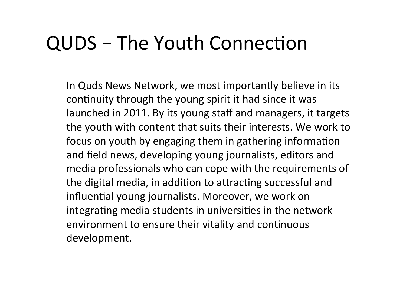In Quds News Network, we most importantly believe in its continuity through the young spirit it had since it was launched in 2011. By its young staff and managers, it targets the youth with content that suits their interests. We work to focus on youth by engaging them in gathering information and field news, developing young journalists, editors and media professionals who can cope with the requirements of the digital media, in addition to attracting successful and influential young journalists. Moreover, we work on integrating media students in universities in the network environment to ensure their vitality and continuous development.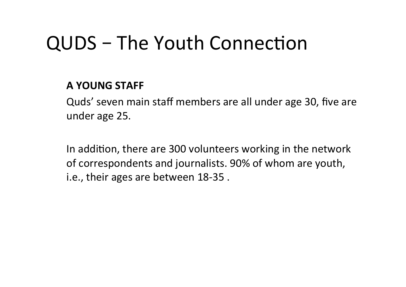#### **A YOUNG STAFF**

Quds' seven main staff members are all under age 30, five are under age 25.

In addition, there are 300 volunteers working in the network of correspondents and journalists. 90% of whom are youth, i.e., their ages are between 18-35.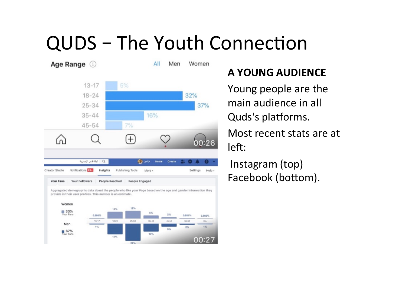

#### **A YOUNG AUDIENCE**

Young people are the main audience in all Quds's platforms. Most recent stats are at left:

Instagram (top) Facebook (bottom).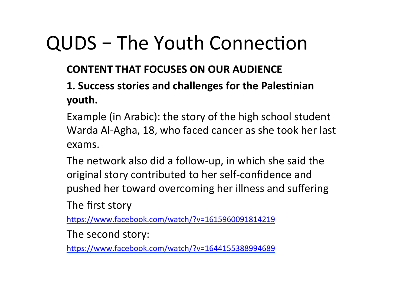#### **CONTENT THAT FOCUSES ON OUR AUDIENCE**

#### **1. Success stories and challenges for the Palestinian youth.**

Example (in Arabic): the story of the high school student Warda Al-Agha, 18, who faced cancer as she took her last exams. 

The network also did a follow-up, in which she said the original story contributed to her self-confidence and pushed her toward overcoming her illness and suffering

The first story

https://www.facebook.com/watch/?v=1615960091814219

The second story:

https://www.facebook.com/watch/?v=1644155388994689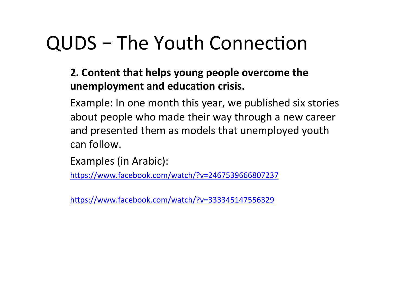#### **2. Content that helps young people overcome the** unemployment and education crisis.

Example: In one month this year, we published six stories about people who made their way through a new career and presented them as models that unemployed youth can follow.

```
Examples (in Arabic):
```
https://www.facebook.com/watch/?v=2467539666807237

https://www.facebook.com/watch/?v=333345147556329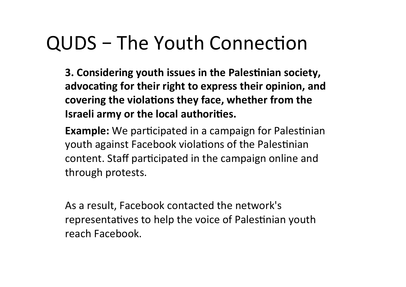**3. Considering youth issues in the Palestinian society,** advocating for their right to express their opinion, and covering the violations they face, whether from the **Israeli army or the local authorities.** 

**Example:** We participated in a campaign for Palestinian youth against Facebook violations of the Palestinian content. Staff participated in the campaign online and through protests.

As a result, Facebook contacted the network's representatives to help the voice of Palestinian youth reach Facebook.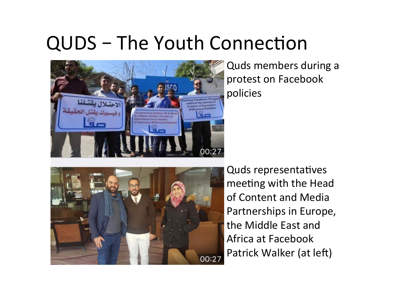

Quds members during a protest on Facebook policies 



Quds representatives meeting with the Head of Content and Media Partnerships in Europe, the Middle East and Africa at Facebook Patrick Walker (at left)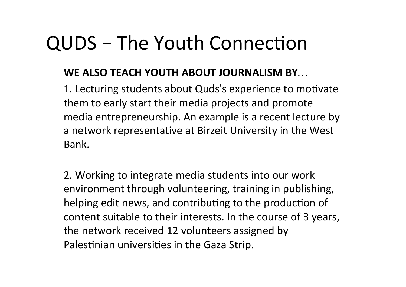#### **WE ALSO TEACH YOUTH ABOUT JOURNALISM BY...**

1. Lecturing students about Quds's experience to motivate them to early start their media projects and promote media entrepreneurship. An example is a recent lecture by a network representative at Birzeit University in the West Bank. 

2. Working to integrate media students into our work environment through volunteering, training in publishing, helping edit news, and contributing to the production of content suitable to their interests. In the course of 3 years, the network received 12 volunteers assigned by Palestinian universities in the Gaza Strip.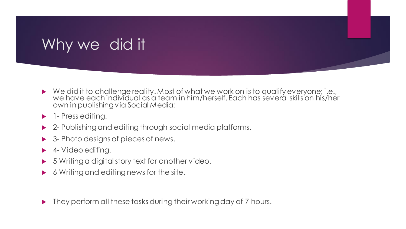## Why we did it

- ▶ We did it to challenge reality. Most of what we work on is to qualify everyone; i.e., we have each individual as a team in him/herself. Each has several skills on his/her own in publishing via Social Media:
- **1** Press editing.
- ▶ 2- Publishing and editing through social media platforms.
- **► 3- Photo designs of pieces of news.**
- ▶ 4- Video editing.
- 5 Writing a digital story text for another video.
- ▶ 6 Writing and editing news for the site.

▶ They perform all these tasks during their working day of 7 hours.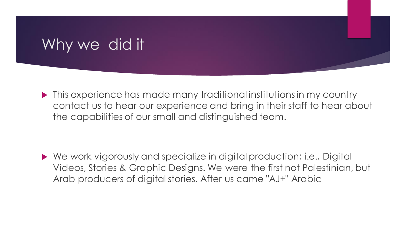## Why we did it

 $\blacktriangleright$  This experience has made many traditional institutions in my country contact us to hear our experience and bring in their staff to hear about the capabilities of our small and distinguished team.

 We work vigorously and specialize in digital production; i.e., Digital Videos, Stories & Graphic Designs. We were the first not Palestinian, but Arab producers of digital stories. After us came "AJ+" Arabic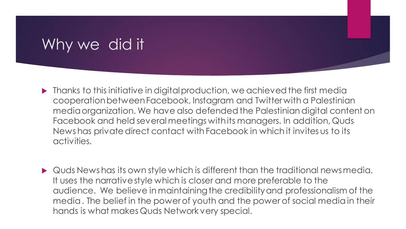### Why we did it

- Thanks to this initiative in digital production, we achieved the first media cooperation between Facebook, Instagram and Twitter with a Palestinian media organization. We have also defended the Palestinian digital content on Facebook and held several meetings with its managers. In addition, Quds News has private direct contact with Facebook in which it invites us to its activities.
- ▶ Quds News has its own style which is different than the traditional news media. It uses the narrative style which is closer and more preferable to the audience. We believe in maintaining the credibility and professionalism of the media . The belief in the power of youth and the power of social media in their hands is what makes Quds Network very special.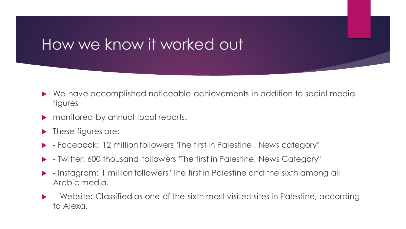### How we know it worked out

- We have accomplished noticeable achievements in addition to social media figures
- **Formonitored by annual local reports.**
- **These figures are:**
- Facebook: 12 million followers "The first in Palestine , News category"
- Twitter: 600 thousand followers "The first in Palestine, News Category"
- Instagram: 1 million followers "The first in Palestine and the sixth among all Arabic media.
- Website: Classified as one of the sixth most visited sites in Palestine, according to Alexa.